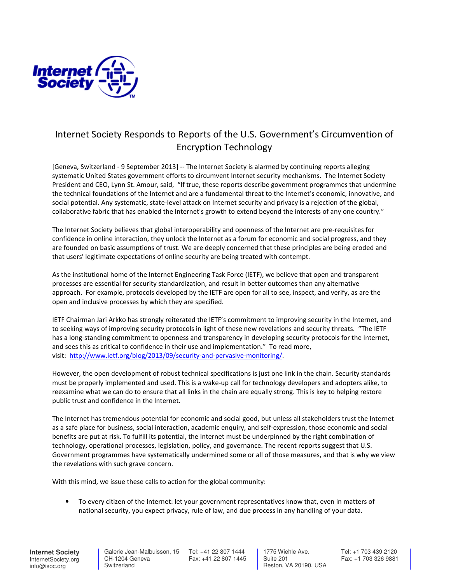

## Internet Society Responds to Reports of the U.S. Government's Circumvention of Encryption Technology

[Geneva, Switzerland - 9 September 2013] -- The Internet Society is alarmed by continuing reports alleging systematic United States government efforts to circumvent Internet security mechanisms. The Internet Society President and CEO, Lynn St. Amour, said, "If true, these reports describe government programmes that undermine the technical foundations of the Internet and are a fundamental threat to the Internet's economic, innovative, and social potential. Any systematic, state-level attack on Internet security and privacy is a rejection of the global, collaborative fabric that has enabled the Internet's growth to extend beyond the interests of any one country."

The Internet Society believes that global interoperability and openness of the Internet are pre-requisites for confidence in online interaction, they unlock the Internet as a forum for economic and social progress, and they are founded on basic assumptions of trust. We are deeply concerned that these principles are being eroded and that users' legitimate expectations of online security are being treated with contempt.

As the institutional home of the Internet Engineering Task Force (IETF), we believe that open and transparent processes are essential for security standardization, and result in better outcomes than any alternative approach. For example, protocols developed by the IETF are open for all to see, inspect, and verify, as are the open and inclusive processes by which they are specified.

IETF Chairman Jari Arkko has strongly reiterated the IETF's commitment to improving security in the Internet, and to seeking ways of improving security protocols in light of these new revelations and security threats. "The IETF has a long-standing commitment to openness and transparency in developing security protocols for the Internet, and sees this as critical to confidence in their use and implementation." To read more, visit: http://www.ietf.org/blog/2013/09/security-and-pervasive-monitoring/.

However, the open development of robust technical specifications is just one link in the chain. Security standards must be properly implemented and used. This is a wake-up call for technology developers and adopters alike, to reexamine what we can do to ensure that all links in the chain are equally strong. This is key to helping restore public trust and confidence in the Internet.

The Internet has tremendous potential for economic and social good, but unless all stakeholders trust the Internet as a safe place for business, social interaction, academic enquiry, and self-expression, those economic and social benefits are put at risk. To fulfill its potential, the Internet must be underpinned by the right combination of technology, operational processes, legislation, policy, and governance. The recent reports suggest that U.S. Government programmes have systematically undermined some or all of those measures, and that is why we view the revelations with such grave concern.

With this mind, we issue these calls to action for the global community:

• To every citizen of the Internet: let your government representatives know that, even in matters of national security, you expect privacy, rule of law, and due process in any handling of your data.

**Internet Society** InternetSociety.org info@isoc.org

 Galerie Jean-Malbuisson, 15 CH-1204 Geneva **Switzerland** 

Tel: +41 22 807 1444 Fax: +41 22 807 1445

 1775 Wiehle Ave. Suite 201 Reston, VA 20190, USA

Tel: +1 703 439 2120 Fax: +1 703 326 9881